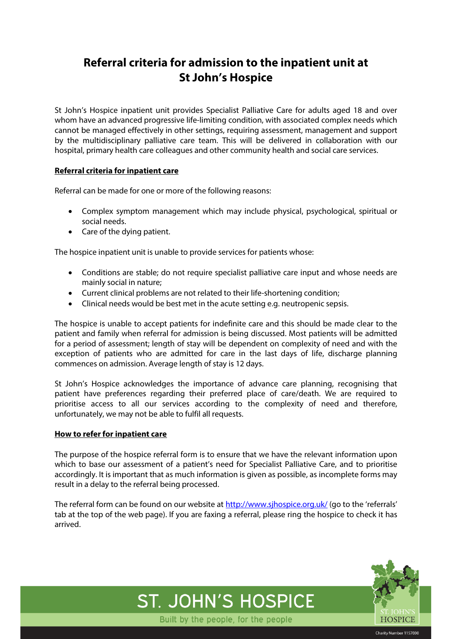# **Referral criteria for admission to the inpatient unit at St John's Hospice**

St John's Hospice inpatient unit provides Specialist Palliative Care for adults aged 18 and over whom have an advanced progressive life-limiting condition, with associated complex needs which cannot be managed effectively in other settings, requiring assessment, management and support by the multidisciplinary palliative care team. This will be delivered in collaboration with our hospital, primary health care colleagues and other community health and social care services.

## **Referral criteria for inpatient care**

Referral can be made for one or more of the following reasons:

- Complex symptom management which may include physical, psychological, spiritual or social needs.
- Care of the dying patient.

The hospice inpatient unit is unable to provide services for patients whose:

- Conditions are stable; do not require specialist palliative care input and whose needs are mainly social in nature;
- Current clinical problems are not related to their life-shortening condition;
- Clinical needs would be best met in the acute setting e.g. neutropenic sepsis.

The hospice is unable to accept patients for indefinite care and this should be made clear to the patient and family when referral for admission is being discussed. Most patients will be admitted for a period of assessment; length of stay will be dependent on complexity of need and with the exception of patients who are admitted for care in the last days of life, discharge planning commences on admission. Average length of stay is 12 days.

St John's Hospice acknowledges the importance of advance care planning, recognising that patient have preferences regarding their preferred place of care/death. We are required to prioritise access to all our services according to the complexity of need and therefore, unfortunately, we may not be able to fulfil all requests.

#### **How to refer for inpatient care**

The purpose of the hospice referral form is to ensure that we have the relevant information upon which to base our assessment of a patient's need for Specialist Palliative Care, and to prioritise accordingly. It is important that as much information is given as possible, as incomplete forms may result in a delay to the referral being processed.

The referral form can be found on our website at <http://www.sjhospice.org.uk/> (go to the 'referrals' tab at the top of the web page). If you are faxing a referral, please ring the hospice to check it has arrived.



Charity Number 1157030